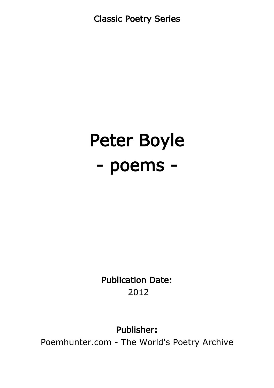Classic Poetry Series

# Peter Boyle - poems -

Publication Date: 2012

Publisher:

Poemhunter.com - The World's Poetry Archive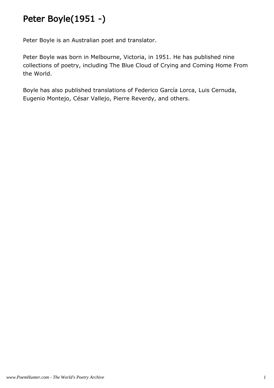# Peter Boyle(1951 -)

Peter Boyle is an Australian poet and translator.

Peter Boyle was born in Melbourne, Victoria, in 1951. He has published nine collections of poetry, including The Blue Cloud of Crying and Coming Home From the World.

Boyle has also published translations of Federico García Lorca, Luis Cernuda, Eugenio Montejo, César Vallejo, Pierre Reverdy, and others.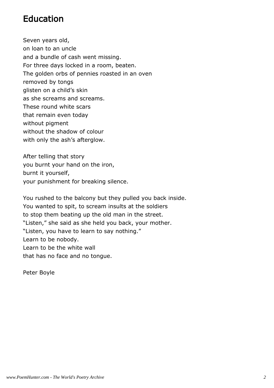#### Education

Seven years old, on loan to an uncle and a bundle of cash went missing. For three days locked in a room, beaten. The golden orbs of pennies roasted in an oven removed by tongs glisten on a child's skin as she screams and screams. These round white scars that remain even today without pigment without the shadow of colour with only the ash's afterglow.

After telling that story you burnt your hand on the iron, burnt it yourself, your punishment for breaking silence.

You rushed to the balcony but they pulled you back inside. You wanted to spit, to scream insults at the soldiers to stop them beating up the old man in the street. "Listen," she said as she held you back, your mother. "Listen, you have to learn to say nothing." Learn to be nobody. Learn to be the white wall that has no face and no tongue.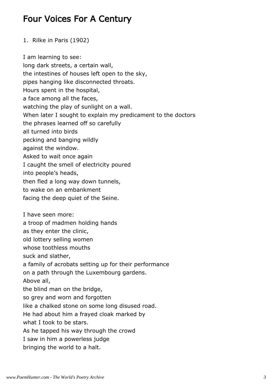#### Four Voices For A Century

1. Rilke in Paris (1902)

I am learning to see: long dark streets, a certain wall, the intestines of houses left open to the sky, pipes hanging like disconnected throats. Hours spent in the hospital, a face among all the faces, watching the play of sunlight on a wall. When later I sought to explain my predicament to the doctors the phrases learned off so carefully all turned into birds pecking and banging wildly against the window. Asked to wait once again I caught the smell of electricity poured into people's heads, then fled a long way down tunnels, to wake on an embankment facing the deep quiet of the Seine. I have seen more: a troop of madmen holding hands as they enter the clinic, old lottery selling women whose toothless mouths suck and slather, a family of acrobats setting up for their performance on a path through the Luxembourg gardens. Above all, the blind man on the bridge, so grey and worn and forgotten like a chalked stone on some long disused road. He had about him a frayed cloak marked by what I took to be stars. As he tapped his way through the crowd I saw in him a powerless judge bringing the world to a halt.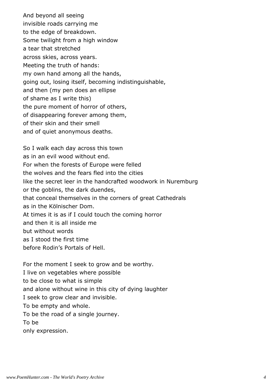And beyond all seeing invisible roads carrying me to the edge of breakdown. Some twilight from a high window a tear that stretched across skies, across years. Meeting the truth of hands: my own hand among all the hands, going out, losing itself, becoming indistinguishable, and then (my pen does an ellipse of shame as I write this) the pure moment of horror of others, of disappearing forever among them, of their skin and their smell and of quiet anonymous deaths.

So I walk each day across this town as in an evil wood without end. For when the forests of Europe were felled the wolves and the fears fled into the cities like the secret leer in the handcrafted woodwork in Nuremburg or the goblins, the dark duendes, that conceal themselves in the corners of great Cathedrals as in the Kölnischer Dom. At times it is as if I could touch the coming horror and then it is all inside me but without words as I stood the first time before Rodin's Portals of Hell.

For the moment I seek to grow and be worthy. I live on vegetables where possible to be close to what is simple and alone without wine in this city of dying laughter I seek to grow clear and invisible. To be empty and whole. To be the road of a single journey. To be only expression.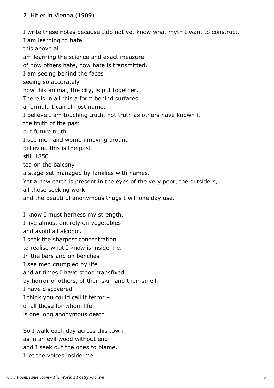I write these notes because I do not yet know what myth I want to construct. I am learning to hate this above all am learning the science and exact measure of how others hate, how hate is transmitted. I am seeing behind the faces seeing so accurately how this animal, the city, is put together. There is in all this a form behind surfaces a formula I can almost name. I believe I am touching truth, not truth as others have known it the truth of the past but future truth. I see men and women moving around believing this is the past still 1850 tea on the balcony a stage-set managed by families with names. Yet a new earth is present in the eyes of the very poor, the outsiders, all those seeking work and the beautiful anonymous thugs I will one day use.

I know I must harness my strength. I live almost entirely on vegetables and avoid all alcohol. I seek the sharpest concentration to realise what I know is inside me. In the bars and on benches I see men crumpled by life and at times I have stood transfixed by horror of others, of their skin and their smell. I have discovered – I think you could call it terror – of all those for whom life is one long anonymous death

So I walk each day across this town as in an evil wood without end and I seek out the ones to blame. I let the voices inside me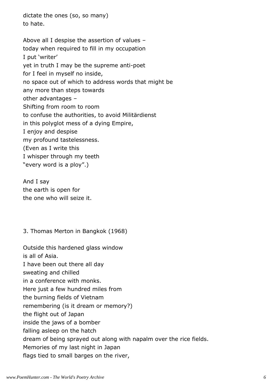dictate the ones (so, so many) to hate.

Above all I despise the assertion of values – today when required to fill in my occupation I put 'writer' yet in truth I may be the supreme anti-poet for I feel in myself no inside, no space out of which to address words that might be any more than steps towards other advantages – Shifting from room to room to confuse the authorities, to avoid Militärdienst in this polyglot mess of a dying Empire, I enjoy and despise my profound tastelessness. (Even as I write this I whisper through my teeth "every word is a ploy".)

And I say the earth is open for the one who will seize it.

3. Thomas Merton in Bangkok (1968)

Outside this hardened glass window is all of Asia. I have been out there all day sweating and chilled in a conference with monks. Here just a few hundred miles from the burning fields of Vietnam remembering (is it dream or memory?) the flight out of Japan inside the jaws of a bomber falling asleep on the hatch dream of being sprayed out along with napalm over the rice fields. Memories of my last night in Japan flags tied to small barges on the river,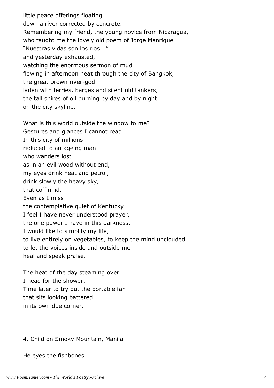little peace offerings floating down a river corrected by concrete. Remembering my friend, the young novice from Nicaragua, who taught me the lovely old poem of Jorge Manrique "Nuestras vidas son los ríos..." and yesterday exhausted, watching the enormous sermon of mud flowing in afternoon heat through the city of Bangkok, the great brown river-god laden with ferries, barges and silent old tankers, the tall spires of oil burning by day and by night on the city skyline.

What is this world outside the window to me? Gestures and glances I cannot read. In this city of millions reduced to an ageing man who wanders lost as in an evil wood without end, my eyes drink heat and petrol, drink slowly the heavy sky, that coffin lid. Even as I miss the contemplative quiet of Kentucky I feel I have never understood prayer, the one power I have in this darkness. I would like to simplify my life, to live entirely on vegetables, to keep the mind unclouded to let the voices inside and outside me heal and speak praise.

The heat of the day steaming over, I head for the shower. Time later to try out the portable fan that sits looking battered in its own due corner.

4. Child on Smoky Mountain, Manila

He eyes the fishbones.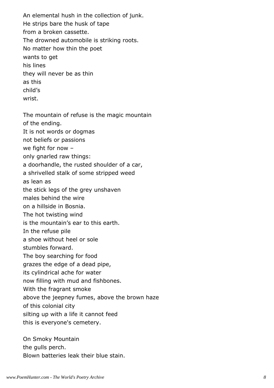An elemental hush in the collection of junk. He strips bare the husk of tape from a broken cassette. The drowned automobile is striking roots. No matter how thin the poet wants to get his lines they will never be as thin as this child's wrist.

The mountain of refuse is the magic mountain of the ending.

It is not words or dogmas

not beliefs or passions

we fight for now –

only gnarled raw things:

a doorhandle, the rusted shoulder of a car,

a shrivelled stalk of some stripped weed

as lean as

the stick legs of the grey unshaven

males behind the wire

on a hillside in Bosnia.

The hot twisting wind

is the mountain's ear to this earth.

In the refuse pile

a shoe without heel or sole

stumbles forward.

The boy searching for food

grazes the edge of a dead pipe,

its cylindrical ache for water

now filling with mud and fishbones.

With the fragrant smoke

above the jeepney fumes, above the brown haze

of this colonial city

silting up with a life it cannot feed

this is everyone's cemetery.

On Smoky Mountain the gulls perch. Blown batteries leak their blue stain.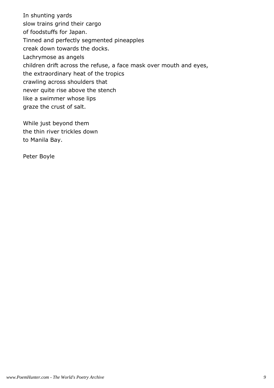In shunting yards slow trains grind their cargo of foodstuffs for Japan. Tinned and perfectly segmented pineapples creak down towards the docks. Lachrymose as angels children drift across the refuse, a face mask over mouth and eyes, the extraordinary heat of the tropics crawling across shoulders that never quite rise above the stench like a swimmer whose lips graze the crust of salt.

While just beyond them the thin river trickles down to Manila Bay.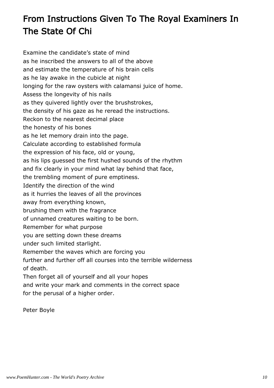# From Instructions Given To The Royal Examiners In The State Of Chi

Examine the candidate's state of mind as he inscribed the answers to all of the above and estimate the temperature of his brain cells as he lay awake in the cubicle at night longing for the raw oysters with calamansi juice of home. Assess the longevity of his nails as they quivered lightly over the brushstrokes, the density of his gaze as he reread the instructions. Reckon to the nearest decimal place the honesty of his bones as he let memory drain into the page. Calculate according to established formula the expression of his face, old or young, as his lips guessed the first hushed sounds of the rhythm and fix clearly in your mind what lay behind that face, the trembling moment of pure emptiness. Identify the direction of the wind as it hurries the leaves of all the provinces away from everything known, brushing them with the fragrance of unnamed creatures waiting to be born. Remember for what purpose you are setting down these dreams under such limited starlight. Remember the waves which are forcing you further and further off all courses into the terrible wilderness of death. Then forget all of yourself and all your hopes and write your mark and comments in the correct space for the perusal of a higher order.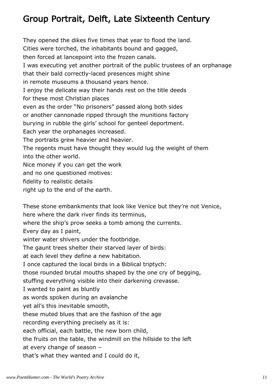## Group Portrait, Delft, Late Sixteenth Century

They opened the dikes five times that year to flood the land. Cities were torched, the inhabitants bound and gagged, then forced at lancepoint into the frozen canals. I was executing yet another portrait of the public trustees of an orphanage that their bald correctly-laced presences might shine in remote museums a thousand years hence. I enjoy the delicate way their hands rest on the title deeds for these most Christian places even as the order "No prisoners" passed along both sides or another cannonade ripped through the munitions factory burying in rubble the girls' school for genteel deportment. Each year the orphanages increased. The portraits grew heavier and heavier. The regents must have thought they would lug the weight of them into the other world. Nice money if you can get the work and no one questioned motives: fidelity to realistic details right up to the end of the earth.

These stone embankments that look like Venice but they're not Venice, here where the dark river finds its terminus, where the ship's prow seeks a tomb among the currents. Every day as I paint, winter water shivers under the footbridge. The gaunt trees shelter their starved layer of birds: at each level they define a new habitation. I once captured the local birds in a Biblical triptych: those rounded brutal mouths shaped by the one cry of begging, stuffing everything visible into their darkening crevasse. I wanted to paint as bluntly as words spoken during an avalanche yet all's this inevitable smooth, these muted blues that are the fashion of the age recording everything precisely as it is: each official, each battle, the new born child, the fruits on the table, the windmill on the hillside to the left at every change of season – that's what they wanted and I could do it,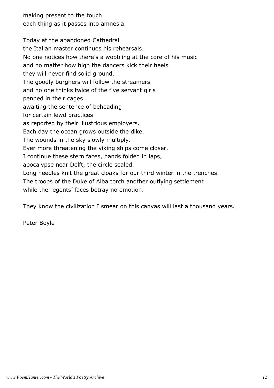making present to the touch each thing as it passes into amnesia.

Today at the abandoned Cathedral the Italian master continues his rehearsals. No one notices how there's a wobbling at the core of his music and no matter how high the dancers kick their heels they will never find solid ground. The goodly burghers will follow the streamers and no one thinks twice of the five servant girls penned in their cages awaiting the sentence of beheading for certain lewd practices as reported by their illustrious employers. Each day the ocean grows outside the dike. The wounds in the sky slowly multiply. Ever more threatening the viking ships come closer. I continue these stern faces, hands folded in laps, apocalypse near Delft, the circle sealed. Long needles knit the great cloaks for our third winter in the trenches. The troops of the Duke of Alba torch another outlying settlement while the regents' faces betray no emotion.

They know the civilization I smear on this canvas will last a thousand years.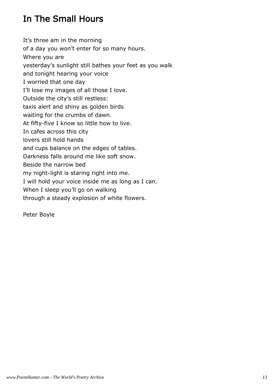# In The Small Hours

It's three am in the morning of a day you won't enter for so many hours. Where you are yesterday's sunlight still bathes your feet as you walk and tonight hearing your voice I worried that one day I'll lose my images of all those I love. Outside the city's still restless: taxis alert and shiny as golden birds waiting for the crumbs of dawn. At fifty-five I know so little how to live. In cafes across this city lovers still hold hands and cups balance on the edges of tables. Darkness falls around me like soft snow. Beside the narrow bed my night-light is staring right into me. I will hold your voice inside me as long as I can. When I sleep you'll go on walking through a steady explosion of white flowers.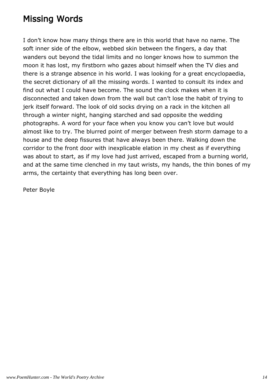#### Missing Words

I don't know how many things there are in this world that have no name. The soft inner side of the elbow, webbed skin between the fingers, a day that wanders out beyond the tidal limits and no longer knows how to summon the moon it has lost, my firstborn who gazes about himself when the TV dies and there is a strange absence in his world. I was looking for a great encyclopaedia, the secret dictionary of all the missing words. I wanted to consult its index and find out what I could have become. The sound the clock makes when it is disconnected and taken down from the wall but can't lose the habit of trying to jerk itself forward. The look of old socks drying on a rack in the kitchen all through a winter night, hanging starched and sad opposite the wedding photographs. A word for your face when you know you can't love but would almost like to try. The blurred point of merger between fresh storm damage to a house and the deep fissures that have always been there. Walking down the corridor to the front door with inexplicable elation in my chest as if everything was about to start, as if my love had just arrived, escaped from a burning world, and at the same time clenched in my taut wrists, my hands, the thin bones of my arms, the certainty that everything has long been over.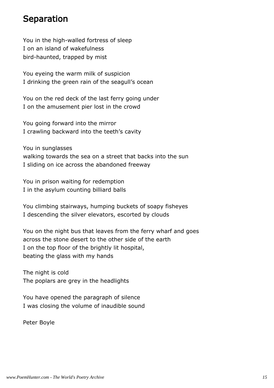#### Separation

You in the high-walled fortress of sleep I on an island of wakefulness bird-haunted, trapped by mist

You eyeing the warm milk of suspicion I drinking the green rain of the seagull's ocean

You on the red deck of the last ferry going under I on the amusement pier lost in the crowd

You going forward into the mirror I crawling backward into the teeth's cavity

You in sunglasses walking towards the sea on a street that backs into the sun I sliding on ice across the abandoned freeway

You in prison waiting for redemption I in the asylum counting billiard balls

You climbing stairways, humping buckets of soapy fisheyes I descending the silver elevators, escorted by clouds

You on the night bus that leaves from the ferry wharf and goes across the stone desert to the other side of the earth I on the top floor of the brightly lit hospital, beating the glass with my hands

The night is cold The poplars are grey in the headlights

You have opened the paragraph of silence I was closing the volume of inaudible sound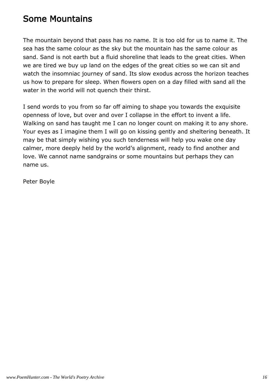#### Some Mountains

The mountain beyond that pass has no name. It is too old for us to name it. The sea has the same colour as the sky but the mountain has the same colour as sand. Sand is not earth but a fluid shoreline that leads to the great cities. When we are tired we buy up land on the edges of the great cities so we can sit and watch the insomniac journey of sand. Its slow exodus across the horizon teaches us how to prepare for sleep. When flowers open on a day filled with sand all the water in the world will not quench their thirst.

I send words to you from so far off aiming to shape you towards the exquisite openness of love, but over and over I collapse in the effort to invent a life. Walking on sand has taught me I can no longer count on making it to any shore. Your eyes as I imagine them I will go on kissing gently and sheltering beneath. It may be that simply wishing you such tenderness will help you wake one day calmer, more deeply held by the world's alignment, ready to find another and love. We cannot name sandgrains or some mountains but perhaps they can name us.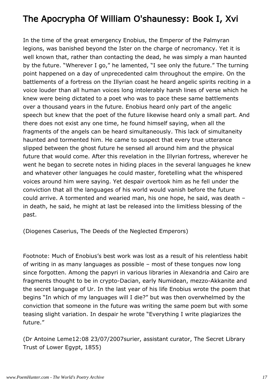## The Apocrypha Of William O'shaunessy: Book I, Xvi

In the time of the great emergency Enobius, the Emperor of the Palmyran legions, was banished beyond the Ister on the charge of necromancy. Yet it is well known that, rather than contacting the dead, he was simply a man haunted by the future. "Wherever I go," he lamented, "I see only the future." The turning point happened on a day of unprecedented calm throughout the empire. On the battlements of a fortress on the Illyrian coast he heard angelic spirits reciting in a voice louder than all human voices long intolerably harsh lines of verse which he knew were being dictated to a poet who was to pace these same battlements over a thousand years in the future. Enobius heard only part of the angelic speech but knew that the poet of the future likewise heard only a small part. And there does not exist any one time, he found himself saying, when all the fragments of the angels can be heard simultaneously. This lack of simultaneity haunted and tormented him. He came to suspect that every true utterance slipped between the ghost future he sensed all around him and the physical future that would come. After this revelation in the Illyrian fortress, wherever he went he began to secrete notes in hiding places in the several languages he knew and whatever other languages he could master, foretelling what the whispered voices around him were saying. Yet despair overtook him as he fell under the conviction that all the languages of his world would vanish before the future could arrive. A tormented and wearied man, his one hope, he said, was death – in death, he said, he might at last be released into the limitless blessing of the past.

(Diogenes Caserius, The Deeds of the Neglected Emperors)

Footnote: Much of Enobius's best work was lost as a result of his relentless habit of writing in as many languages as possible – most of these tongues now long since forgotten. Among the papyri in various libraries in Alexandria and Cairo are fragments thought to be in crypto-Dacian, early Numidean, mezzo-Akkanite and the secret language of Ur. In the last year of his life Enobius wrote the poem that begins "In which of my languages will I die?" but was then overwhelmed by the conviction that someone in the future was writing the same poem but with some teasing slight variation. In despair he wrote "Everything I write plagiarizes the future."

(Dr Antoine Leme12:08 23/07/2007surier, assistant curator, The Secret Library Trust of Lower Egypt, 1855)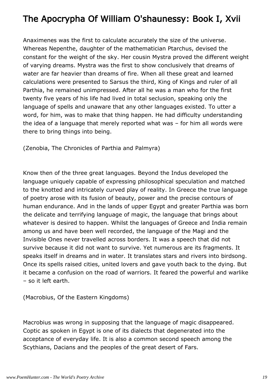## The Apocrypha Of William O'shaunessy: Book I, Xvii

Anaximenes was the first to calculate accurately the size of the universe. Whereas Nepenthe, daughter of the mathematician Ptarchus, devised the constant for the weight of the sky. Her cousin Mystra proved the different weight of varying dreams. Mystra was the first to show conclusively that dreams of water are far heavier than dreams of fire. When all these great and learned calculations were presented to Sarsus the third, King of Kings and ruler of all Parthia, he remained unimpressed. After all he was a man who for the first twenty five years of his life had lived in total seclusion, speaking only the language of spells and unaware that any other languages existed. To utter a word, for him, was to make that thing happen. He had difficulty understanding the idea of a language that merely reported what was – for him all words were there to bring things into being.

(Zenobia, The Chronicles of Parthia and Palmyra)

Know then of the three great languages. Beyond the Indus developed the language uniquely capable of expressing philosophical speculation and matched to the knotted and intricately curved play of reality. In Greece the true language of poetry arose with its fusion of beauty, power and the precise contours of human endurance. And in the lands of upper Egypt and greater Parthia was born the delicate and terrifying language of magic, the language that brings about whatever is desired to happen. Whilst the languages of Greece and India remain among us and have been well recorded, the language of the Magi and the Invisible Ones never travelled across borders. It was a speech that did not survive because it did not want to survive. Yet numerous are its fragments. It speaks itself in dreams and in water. It translates stars and rivers into birdsong. Once its spells raised cities, united lovers and gave youth back to the dying. But it became a confusion on the road of warriors. It feared the powerful and warlike – so it left earth.

(Macrobius, Of the Eastern Kingdoms)

Macrobius was wrong in supposing that the language of magic disappeared. Coptic as spoken in Egypt is one of its dialects that degenerated into the acceptance of everyday life. It is also a common second speech among the Scythians, Dacians and the peoples of the great desert of Fars.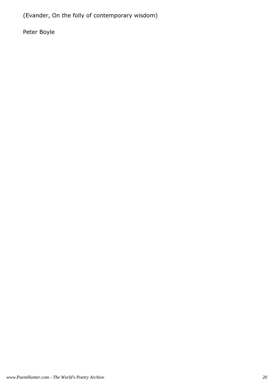(Evander, On the folly of contemporary wisdom)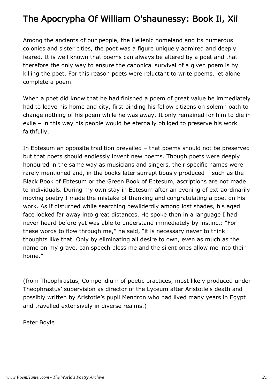## The Apocrypha Of William O'shaunessy: Book Ii, Xii

Among the ancients of our people, the Hellenic homeland and its numerous colonies and sister cities, the poet was a figure uniquely admired and deeply feared. It is well known that poems can always be altered by a poet and that therefore the only way to ensure the canonical survival of a given poem is by killing the poet. For this reason poets were reluctant to write poems, let alone complete a poem.

When a poet did know that he had finished a poem of great value he immediately had to leave his home and city, first binding his fellow citizens on solemn oath to change nothing of his poem while he was away. It only remained for him to die in exile – in this way his people would be eternally obliged to preserve his work faithfully.

In Ebtesum an opposite tradition prevailed – that poems should not be preserved but that poets should endlessly invent new poems. Though poets were deeply honoured in the same way as musicians and singers, their specific names were rarely mentioned and, in the books later surreptitiously produced – such as the Black Book of Ebtesum or the Green Book of Ebtesum, ascriptions are not made to individuals. During my own stay in Ebtesum after an evening of extraordinarily moving poetry I made the mistake of thanking and congratulating a poet on his work. As if disturbed while searching bewilderdly among lost shades, his aged face looked far away into great distances. He spoke then in a language I had never heard before yet was able to understand immediately by instinct: "For these words to flow through me," he said, "it is necessary never to think thoughts like that. Only by eliminating all desire to own, even as much as the name on my grave, can speech bless me and the silent ones allow me into their home."

(from Theophrastus, Compendium of poetic practices, most likely produced under Theophrastus' supervision as director of the Lyceum after Aristotle's death and possibly written by Aristotle's pupil Mendron who had lived many years in Egypt and travelled extensively in diverse realms.)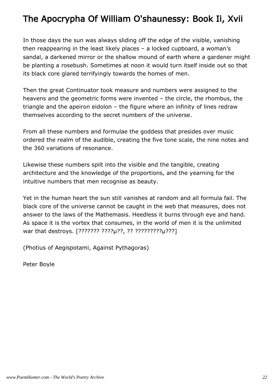## The Apocrypha Of William O'shaunessy: Book Ii, Xvii

In those days the sun was always sliding off the edge of the visible, vanishing then reappearing in the least likely places – a locked cupboard, a woman's sandal, a darkened mirror or the shallow mound of earth where a gardener might be planting a rosebush. Sometimes at noon it would turn itself inside out so that its black core glared terrifyingly towards the homes of men.

Then the great Continuator took measure and numbers were assigned to the heavens and the geometric forms were invented – the circle, the rhombus, the triangle and the apeiron eidolon – the figure where an infinity of lines redraw themselves according to the secret numbers of the universe.

From all these numbers and formulae the goddess that presides over music ordered the realm of the audible, creating the five tone scale, the nine notes and the 360 variations of resonance.

Likewise these numbers spilt into the visible and the tangible, creating architecture and the knowledge of the proportions, and the yearning for the intuitive numbers that men recognise as beauty.

Yet in the human heart the sun still vanishes at random and all formula fail. The black core of the universe cannot be caught in the web that measures, does not answer to the laws of the Mathemasis. Heedless it burns through eye and hand. As space it is the vortex that consumes, in the world of men it is the unlimited war that destroys. [??????? ????µ??, ?? ?????????µ???]

(Photius of Aegispotami, Against Pythagoras)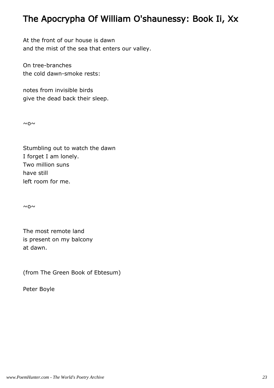## The Apocrypha Of William O'shaunessy: Book Ii, Xx

At the front of our house is dawn and the mist of the sea that enters our valley.

On tree-branches the cold dawn-smoke rests:

notes from invisible birds give the dead back their sleep.

 $~\sim$  0 $~\sim$ 

Stumbling out to watch the dawn I forget I am lonely. Two million suns have still left room for me.

 $~\sim$  0 $~\sim$ 

The most remote land is present on my balcony at dawn.

(from The Green Book of Ebtesum)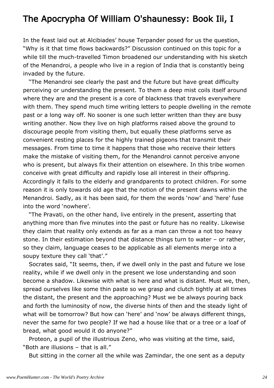#### The Apocrypha Of William O'shaunessy: Book Iii, I

In the feast laid out at Alcibiades' house Terpander posed for us the question, "Why is it that time flows backwards?" Discussion continued on this topic for a while till the much-travelled Timon broadened our understanding with his sketch of the Menandroi, a people who live in a region of India that is constantly being invaded by the future.

 "The Menandroi see clearly the past and the future but have great difficulty perceiving or understanding the present. To them a deep mist coils itself around where they are and the present is a core of blackness that travels everywhere with them. They spend much time writing letters to people dwelling in the remote past or a long way off. No sooner is one such letter written than they are busy writing another. Now they live on high platforms raised above the ground to discourage people from visiting them, but equally these platforms serve as convenient resting places for the highly trained pigeons that transmit their messages. From time to time it happens that those who receive their letters make the mistake of visiting them, for the Menandroi cannot perceive anyone who is present, but always fix their attention on elsewhere. In this tribe women conceive with great difficulty and rapidly lose all interest in their offspring. Accordingly it falls to the elderly and grandparents to protect children. For some reason it is only towards old age that the notion of the present dawns within the Menandroi. Sadly, as it has been said, for them the words 'now' and 'here' fuse into the word 'nowhere'.

 "The Pravati, on the other hand, live entirely in the present, asserting that anything more than five minutes into the past or future has no reality. Likewise they claim that reality only extends as far as a man can throw a not too heavy stone. In their estimation beyond that distance things turn to water – or rather, so they claim, language ceases to be applicable as all elements merge into a soupy texture they call 'that'."

 Socrates said, "It seems, then, if we dwell only in the past and future we lose reality, while if we dwell only in the present we lose understanding and soon become a shadow. Likewise with what is here and what is distant. Must we, then, spread ourselves like some thin paste so we grasp and clutch tightly at all times the distant, the present and the approaching? Must we be always pouring back and forth the luminosity of now, the diverse hints of then and the steady light of what will be tomorrow? But how can 'here' and 'now' be always different things, never the same for two people? If we had a house like that or a tree or a loaf of bread, what good would it do anyone?"

 Proteon, a pupil of the illustrious Zeno, who was visiting at the time, said, "Both are illusions – that is all."

But sitting in the corner all the while was Zamindar, the one sent as a deputy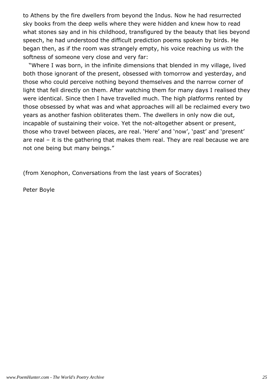to Athens by the fire dwellers from beyond the Indus. Now he had resurrected sky books from the deep wells where they were hidden and knew how to read what stones say and in his childhood, transfigured by the beauty that lies beyond speech, he had understood the difficult prediction poems spoken by birds. He began then, as if the room was strangely empty, his voice reaching us with the softness of someone very close and very far:

 "Where I was born, in the infinite dimensions that blended in my village, lived both those ignorant of the present, obsessed with tomorrow and yesterday, and those who could perceive nothing beyond themselves and the narrow corner of light that fell directly on them. After watching them for many days I realised they were identical. Since then I have travelled much. The high platforms rented by those obsessed by what was and what approaches will all be reclaimed every two years as another fashion obliterates them. The dwellers in only now die out, incapable of sustaining their voice. Yet the not-altogether absent or present, those who travel between places, are real. 'Here' and 'now', 'past' and 'present' are real – it is the gathering that makes them real. They are real because we are not one being but many beings."

(from Xenophon, Conversations from the last years of Socrates)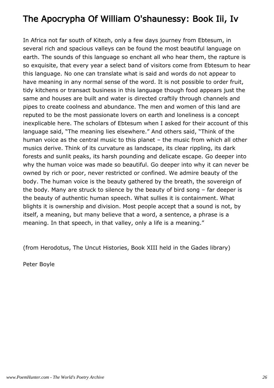## The Apocrypha Of William O'shaunessy: Book Iii, Iv

In Africa not far south of Kitezh, only a few days journey from Ebtesum, in several rich and spacious valleys can be found the most beautiful language on earth. The sounds of this language so enchant all who hear them, the rapture is so exquisite, that every year a select band of visitors come from Ebtesum to hear this language. No one can translate what is said and words do not appear to have meaning in any normal sense of the word. It is not possible to order fruit, tidy kitchens or transact business in this language though food appears just the same and houses are built and water is directed craftily through channels and pipes to create coolness and abundance. The men and women of this land are reputed to be the most passionate lovers on earth and loneliness is a concept inexplicable here. The scholars of Ebtesum when I asked for their account of this language said, "The meaning lies elsewhere." And others said, "Think of the human voice as the central music to this planet – the music from which all other musics derive. Think of its curvature as landscape, its clear rippling, its dark forests and sunlit peaks, its harsh pounding and delicate escape. Go deeper into why the human voice was made so beautiful. Go deeper into why it can never be owned by rich or poor, never restricted or confined. We admire beauty of the body. The human voice is the beauty gathered by the breath, the sovereign of the body. Many are struck to silence by the beauty of bird song – far deeper is the beauty of authentic human speech. What sullies it is containment. What blights it is ownership and division. Most people accept that a sound is not, by itself, a meaning, but many believe that a word, a sentence, a phrase is a meaning. In that speech, in that valley, only a life is a meaning."

(from Herodotus, The Uncut Histories, Book XIII held in the Gades library)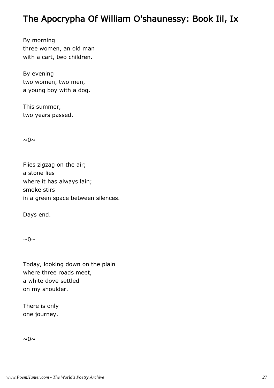#### The Apocrypha Of William O'shaunessy: Book Iii, Ix

By morning three women, an old man with a cart, two children.

By evening two women, two men, a young boy with a dog.

This summer, two years passed.

 $\sim 0 \sim$ 

Flies zigzag on the air; a stone lies where it has always lain; smoke stirs in a green space between silences.

Days end.

 $\sim 0 \sim$ 

Today, looking down on the plain where three roads meet, a white dove settled on my shoulder.

There is only one journey.

 $\sim 0 \sim$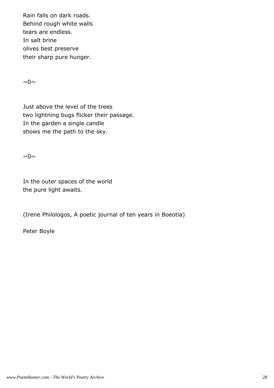Rain falls on dark roads. Behind rough white walls tears are endless. In salt brine olives best preserve their sharp pure hunger.

 $\sim 0 \sim$ 

Just above the level of the trees two lightning bugs flicker their passage. In the garden a single candle shows me the path to the sky.

 $\sim 0 \sim$ 

In the outer spaces of the world the pure light awaits.

(Irene Philologos, A poetic journal of ten years in Boeotia)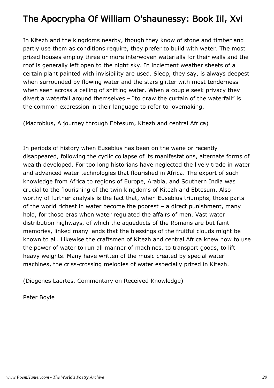## The Apocrypha Of William O'shaunessy: Book Iii, Xvi

In Kitezh and the kingdoms nearby, though they know of stone and timber and partly use them as conditions require, they prefer to build with water. The most prized houses employ three or more interwoven waterfalls for their walls and the roof is generally left open to the night sky. In inclement weather sheets of a certain plant painted with invisibility are used. Sleep, they say, is always deepest when surrounded by flowing water and the stars glitter with most tenderness when seen across a ceiling of shifting water. When a couple seek privacy they divert a waterfall around themselves – "to draw the curtain of the waterfall" is the common expression in their language to refer to lovemaking.

(Macrobius, A journey through Ebtesum, Kitezh and central Africa)

In periods of history when Eusebius has been on the wane or recently disappeared, following the cyclic collapse of its manifestations, alternate forms of wealth developed. For too long historians have neglected the lively trade in water and advanced water technologies that flourished in Africa. The export of such knowledge from Africa to regions of Europe, Arabia, and Southern India was crucial to the flourishing of the twin kingdoms of Kitezh and Ebtesum. Also worthy of further analysis is the fact that, when Eusebius triumphs, those parts of the world richest in water become the poorest – a direct punishment, many hold, for those eras when water regulated the affairs of men. Vast water distribution highways, of which the aqueducts of the Romans are but faint memories, linked many lands that the blessings of the fruitful clouds might be known to all. Likewise the craftsmen of Kitezh and central Africa knew how to use the power of water to run all manner of machines, to transport goods, to lift heavy weights. Many have written of the music created by special water machines, the criss-crossing melodies of water especially prized in Kitezh.

(Diogenes Laertes, Commentary on Received Knowledge)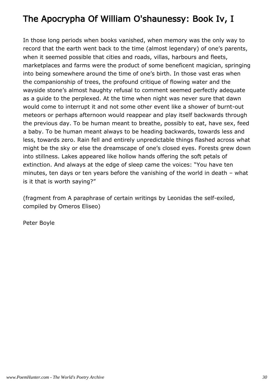# The Apocrypha Of William O'shaunessy: Book Iv, I

In those long periods when books vanished, when memory was the only way to record that the earth went back to the time (almost legendary) of one's parents, when it seemed possible that cities and roads, villas, harbours and fleets, marketplaces and farms were the product of some beneficent magician, springing into being somewhere around the time of one's birth. In those vast eras when the companionship of trees, the profound critique of flowing water and the wayside stone's almost haughty refusal to comment seemed perfectly adequate as a guide to the perplexed. At the time when night was never sure that dawn would come to interrupt it and not some other event like a shower of burnt-out meteors or perhaps afternoon would reappear and play itself backwards through the previous day. To be human meant to breathe, possibly to eat, have sex, feed a baby. To be human meant always to be heading backwards, towards less and less, towards zero. Rain fell and entirely unpredictable things flashed across what might be the sky or else the dreamscape of one's closed eyes. Forests grew down into stillness. Lakes appeared like hollow hands offering the soft petals of extinction. And always at the edge of sleep came the voices: "You have ten minutes, ten days or ten years before the vanishing of the world in death – what is it that is worth saying?"

(fragment from A paraphrase of certain writings by Leonidas the self-exiled, compiled by Omeros Eliseo)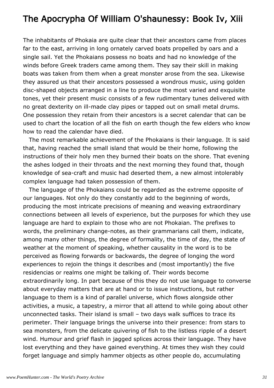#### The Apocrypha Of William O'shaunessy: Book Iv, Xiii

The inhabitants of Phokaia are quite clear that their ancestors came from places far to the east, arriving in long ornately carved boats propelled by oars and a single sail. Yet the Phokaians possess no boats and had no knowledge of the winds before Greek traders came among them. They say their skill in making boats was taken from them when a great monster arose from the sea. Likewise they assured us that their ancestors possessed a wondrous music, using golden disc-shaped objects arranged in a line to produce the most varied and exquisite tones, yet their present music consists of a few rudimentary tunes delivered with no great dexterity on ill-made clay pipes or tapped out on small metal drums. One possession they retain from their ancestors is a secret calendar that can be used to chart the location of all the fish on earth though the few elders who know how to read the calendar have died.

 The most remarkable achievement of the Phokaians is their language. It is said that, having reached the small island that would be their home, following the instructions of their holy men they burned their boats on the shore. That evening the ashes lodged in their throats and the next morning they found that, though knowledge of sea-craft and music had deserted them, a new almost intolerably complex language had taken possession of them.

 The language of the Phokaians could be regarded as the extreme opposite of our languages. Not only do they constantly add to the beginning of words, producing the most intricate precisions of meaning and weaving extraordinary connections between all levels of experience, but the purposes for which they use language are hard to explain to those who are not Phokaian. The prefixes to words, the preliminary change-notes, as their grammarians call them, indicate, among many other things, the degree of formality, the time of day, the state of weather at the moment of speaking, whether causality in the word is to be perceived as flowing forwards or backwards, the degree of longing the word experiences to rejoin the things it describes and (most importantly) the five residencias or realms one might be talking of. Their words become extraordinarily long. In part because of this they do not use language to converse about everyday matters that are at hand or to issue instructions, but rather language to them is a kind of parallel universe, which flows alongside other activities, a music, a tapestry, a mirror that all attend to while going about other unconnected tasks. Their island is small – two days walk suffices to trace its perimeter. Their language brings the universe into their presence: from stars to sea monsters, from the delicate quivering of fish to the listless ripple of a desert wind. Humour and grief flash in jagged splices across their language. They have lost everything and they have gained everything. At times they wish they could forget language and simply hammer objects as other people do, accumulating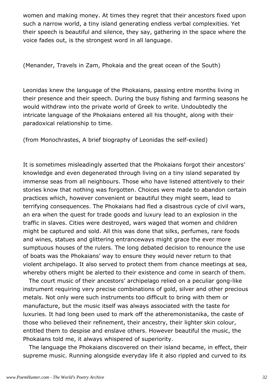women and making money. At times they regret that their ancestors fixed upon such a narrow world, a tiny island generating endless verbal complexities. Yet their speech is beautiful and silence, they say, gathering in the space where the voice fades out, is the strongest word in all language.

(Menander, Travels in Zam, Phokaia and the great ocean of the South)

Leonidas knew the language of the Phokaians, passing entire months living in their presence and their speech. During the busy fishing and farming seasons he would withdraw into the private world of Greek to write. Undoubtedly the intricate language of the Phokaians entered all his thought, along with their paradoxical relationship to time.

(from Monochrastes, A brief biography of Leonidas the self-exiled)

It is sometimes misleadingly asserted that the Phokaians forgot their ancestors' knowledge and even degenerated through living on a tiny island separated by immense seas from all neighbours. Those who have listened attentively to their stories know that nothing was forgotten. Choices were made to abandon certain practices which, however convenient or beautiful they might seem, lead to terrifying consequences. The Phokaians had fled a disastrous cycle of civil wars, an era when the quest for trade goods and luxury lead to an explosion in the traffic in slaves. Cities were destroyed, wars waged that women and children might be captured and sold. All this was done that silks, perfumes, rare foods and wines, statues and glittering entranceways might grace the ever more sumptuous houses of the rulers. The long debated decision to renounce the use of boats was the Phokaians' way to ensure they would never return to that violent archipelago. It also served to protect them from chance meetings at sea, whereby others might be alerted to their existence and come in search of them.

 The court music of their ancestors' archipelago relied on a peculiar gong-like instrument requiring very precise combinations of gold, silver and other precious metals. Not only were such instruments too difficult to bring with them or manufacture, but the music itself was always associated with the taste for luxuries. It had long been used to mark off the atheremonistanika, the caste of those who believed their refinement, their ancestry, their lighter skin colour, entitled them to despise and enslave others. However beautiful the music, the Phokaians told me, it always whispered of superiority.

 The language the Phokaians discovered on their island became, in effect, their supreme music. Running alongside everyday life it also rippled and curved to its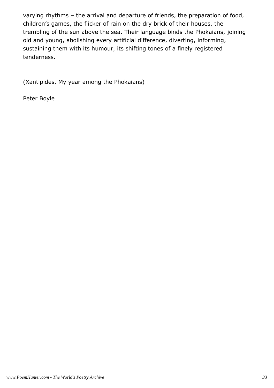varying rhythms – the arrival and departure of friends, the preparation of food, children's games, the flicker of rain on the dry brick of their houses, the trembling of the sun above the sea. Their language binds the Phokaians, joining old and young, abolishing every artificial difference, diverting, informing, sustaining them with its humour, its shifting tones of a finely registered tenderness.

(Xantipides, My year among the Phokaians)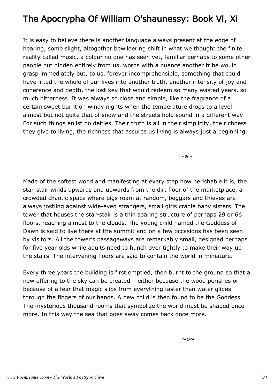## The Apocrypha Of William O'shaunessy: Book Vi, Xi

It is easy to believe there is another language always present at the edge of hearing, some slight, altogether bewildering shift in what we thought the finite reality called music, a colour no one has seen yet, familiar perhaps to some other people but hidden entirely from us, words with a nuance another tribe would grasp immediately but, to us, forever incomprehensible, something that could have lifted the whole of our lives into another truth, another intensity of joy and coherence and depth, the lost key that would redeem so many wasted years, so much bitterness. It was always so close and simple, like the fragrance of a certain sweet burnt on windy nights when the temperature drops to a level almost but not quite that of snow and the streets hold sound in a different way. For such things enlist no deities. Their truth is all in their simplicity, the richness they give to living, the richness that assures us living is always just a beginning.

 $~\sim$   $\beta \sim$ 

Made of the softest wood and manifesting at every step how perishable it is, the star-stair winds upwards and upwards from the dirt floor of the marketplace, a crowded chaotic space where pigs roam at random, beggars and thieves are always jostling against wide-eyed strangers, small girls cradle baby sisters. The tower that houses the star-stair is a thin soaring structure of perhaps 29 or 66 floors, reaching almost to the clouds. The young child named the Goddess of Dawn is said to live there at the summit and on a few occasions has been seen by visitors. All the tower's passageways are remarkably small, designed perhaps for five year olds while adults need to hunch over tightly to make their way up the stairs. The intervening floors are said to contain the world in miniature.

Every three years the building is first emptied, then burnt to the ground so that a new offering to the sky can be created – either because the wood perishes or because of a fear that magic slips from everything faster than water glides through the fingers of our hands. A new child is then found to be the Goddess. The mysterious thousand rooms that symbolize the world must be shaped once more. In this way the sea that goes away comes back once more.

 $~\sim$   $\beta \sim$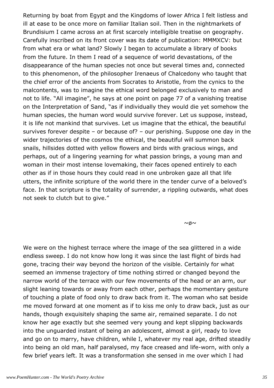Returning by boat from Egypt and the Kingdoms of lower Africa I felt listless and ill at ease to be once more on familiar Italian soil. Then in the nightmarkets of Brundisium I came across an at first scarcely intelligible treatise on geography. Carefully inscribed on its front cover was its date of publication: MMMXCV: but from what era or what land? Slowly I began to accumulate a library of books from the future. In them I read of a sequence of world devastations, of the disappearance of the human species not once but several times and, connected to this phenomenon, of the philosopher Irenaeus of Chalcedony who taught that the chief error of the ancients from Socrates to Aristotle, from the cynics to the malcontents, was to imagine the ethical word belonged exclusively to man and not to life. "All imagine", he says at one point on page 77 of a vanishing treatise on the Interpretation of Sand, "as if individually they would die yet somehow the human species, the human word would survive forever. Let us suppose, instead, it is life not mankind that survives. Let us imagine that the ethical, the beautiful survives forever despite – or because of? – our perishing. Suppose one day in the wider trajectories of the cosmos the ethical, the beautiful will summon back snails, hillsides dotted with yellow flowers and birds with gracious wings, and perhaps, out of a lingering yearning for what passion brings, a young man and woman in their most intense lovemaking, their faces opened entirely to each other as if in those hours they could read in one unbroken gaze all that life utters, the infinite scripture of the world there in the tender curve of a beloved's face. In that scripture is the totality of surrender, a rippling outwards, what does not seek to clutch but to give."

 $~\sim$   $\beta \sim$ 

We were on the highest terrace where the image of the sea glittered in a wide endless sweep. I do not know how long it was since the last flight of birds had gone, tracing their way beyond the horizon of the visible. Certainly for what seemed an immense trajectory of time nothing stirred or changed beyond the narrow world of the terrace with our few movements of the head or an arm, our slight leaning towards or away from each other, perhaps the momentary gesture of touching a plate of food only to draw back from it. The woman who sat beside me moved forward at one moment as if to kiss me only to draw back, just as our hands, though exquisitely shaping the same air, remained separate. I do not know her age exactly but she seemed very young and kept slipping backwards into the unguarded instant of being an adolescent, almost a girl, ready to love and go on to marry, have children, while I, whatever my real age, drifted steadily into being an old man, half paralysed, my face creased and life-worn, with only a few brief years left. It was a transformation she sensed in me over which I had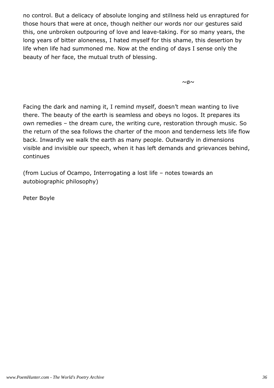no control. But a delicacy of absolute longing and stillness held us enraptured for those hours that were at once, though neither our words nor our gestures said this, one unbroken outpouring of love and leave-taking. For so many years, the long years of bitter aloneness, I hated myself for this shame, this desertion by life when life had summoned me. Now at the ending of days I sense only the beauty of her face, the mutual truth of blessing.

 $~\sim$   $\beta \sim$ 

Facing the dark and naming it, I remind myself, doesn't mean wanting to live there. The beauty of the earth is seamless and obeys no logos. It prepares its own remedies – the dream cure, the writing cure, restoration through music. So the return of the sea follows the charter of the moon and tenderness lets life flow back. Inwardly we walk the earth as many people. Outwardly in dimensions visible and invisible our speech, when it has left demands and grievances behind, continues

(from Lucius of Ocampo, Interrogating a lost life – notes towards an autobiographic philosophy)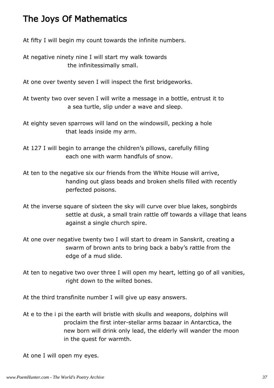#### The Joys Of Mathematics

At fifty I will begin my count towards the infinite numbers.

At negative ninety nine I will start my walk towards the infinitessimally small.

At one over twenty seven I will inspect the first bridgeworks.

At twenty two over seven I will write a message in a bottle, entrust it to a sea turtle, slip under a wave and sleep.

At eighty seven sparrows will land on the windowsill, pecking a hole that leads inside my arm.

At 127 I will begin to arrange the children's pillows, carefully filling each one with warm handfuls of snow.

At ten to the negative six our friends from the White House will arrive, handing out glass beads and broken shells filled with recently perfected poisons.

At the inverse square of sixteen the sky will curve over blue lakes, songbirds settle at dusk, a small train rattle off towards a village that leans against a single church spire.

At one over negative twenty two I will start to dream in Sanskrit, creating a swarm of brown ants to bring back a baby's rattle from the edge of a mud slide.

At ten to negative two over three I will open my heart, letting go of all vanities, right down to the wilted bones.

At the third transfinite number I will give up easy answers.

At e to the i pi the earth will bristle with skulls and weapons, dolphins will proclaim the first inter-stellar arms bazaar in Antarctica, the new born will drink only lead, the elderly will wander the moon in the quest for warmth.

At one I will open my eyes.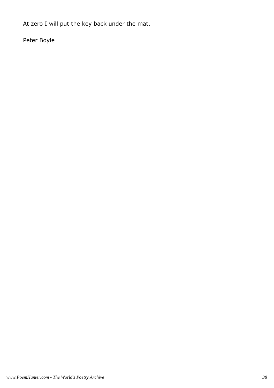At zero I will put the key back under the mat.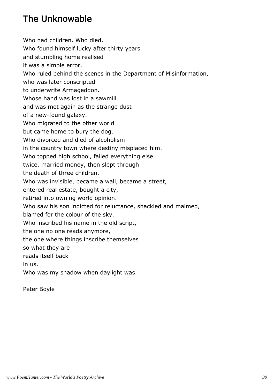## The Unknowable

Who had children. Who died. Who found himself lucky after thirty years and stumbling home realised it was a simple error. Who ruled behind the scenes in the Department of Misinformation, who was later conscripted to underwrite Armageddon. Whose hand was lost in a sawmill and was met again as the strange dust of a new-found galaxy. Who migrated to the other world but came home to bury the dog. Who divorced and died of alcoholism in the country town where destiny misplaced him. Who topped high school, failed everything else twice, married money, then slept through the death of three children. Who was invisible, became a wall, became a street, entered real estate, bought a city, retired into owning world opinion. Who saw his son indicted for reluctance, shackled and maimed, blamed for the colour of the sky. Who inscribed his name in the old script, the one no one reads anymore, the one where things inscribe themselves so what they are reads itself back in us. Who was my shadow when daylight was.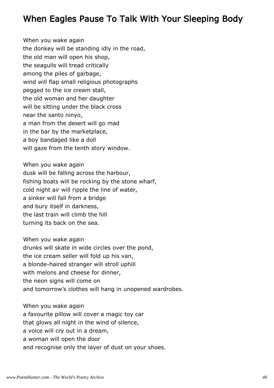#### When Eagles Pause To Talk With Your Sleeping Body

When you wake again the donkey will be standing idly in the road, the old man will open his shop, the seagulls will tread critically among the piles of garbage, wind will flap small religious photographs pegged to the ice cream stall, the old woman and her daughter will be sitting under the black cross near the santo ninyo, a man from the desert will go mad in the bar by the marketplace, a boy bandaged like a doll will gaze from the tenth story window.

When you wake again dusk will be falling across the harbour, fishing boats will be rocking by the stone wharf, cold night air will ripple the line of water, a sinker will fall from a bridge and bury itself in darkness, the last train will climb the hill turning its back on the sea.

When you wake again drunks will skate in wide circles over the pond, the ice cream seller will fold up his van, a blonde-haired stranger will stroll uphill with melons and cheese for dinner, the neon signs will come on and tomorrow's clothes will hang in unopened wardrobes.

When you wake again a favourite pillow will cover a magic toy car that glows all night in the wind of silence, a voice will cry out in a dream, a woman will open the door and recognise only the layer of dust on your shoes.